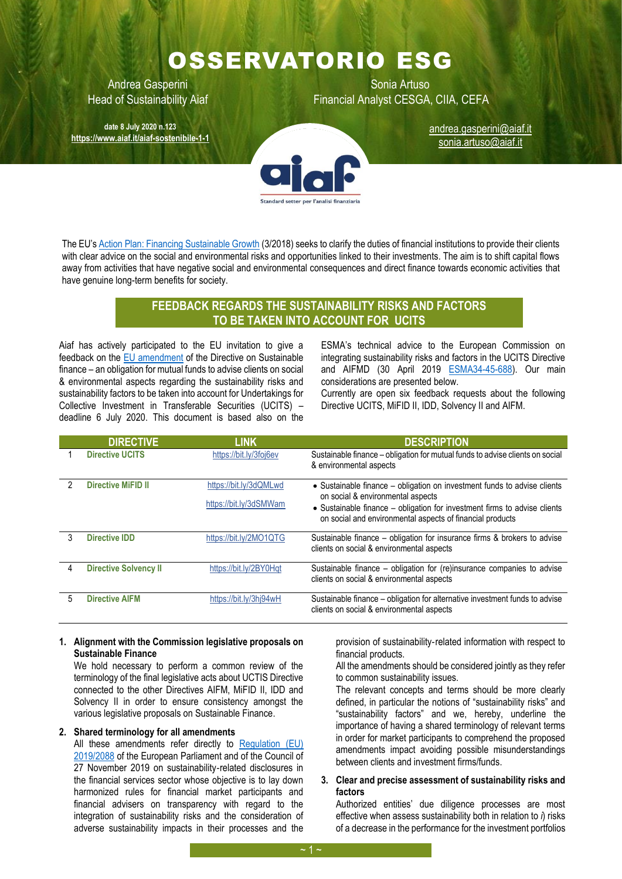# OSSERVATORIO ESG

**date 8 July 2020 n.123 <https://www.aiaf.it/aiaf-sostenibile-1-1>**

Andrea Gasperini **National Artuso** Sonia Artuso Head of Sustainability Aiaf Financial Analyst CESGA, CIIA, CEFA

> [andrea.gasperini@aiaf.it](mailto:andrea.gasperini@aiaf.it) sonia.artuso@aiaf.it



The EU's Action Plan: [Financing Sustainable Growth](https://eur-lex.europa.eu/legal-content/EN/TXT/PDF/?uri=CELEX:52018DC0097&from=EN) (3/2018) seeks to clarify the duties of financial institutions to provide their clients with clear advice on the social and environmental risks and opportunities linked to their investments. The aim is to shift capital flows away from activities that have negative social and environmental consequences and direct finance towards economic activities that have genuine long-term benefits for society.

# **FEEDBACK REGARDS THE SUSTAINABILITY RISKS AND FACTORS TO BE TAKEN INTO ACCOUNT FOR UCITS**

Aiaf has actively participated to the EU invitation to give a feedback on the [EU amendment](file:///C:/Users/Utente/Downloads/090166e5d01e57c6%20(7).pdf) of the Directive on Sustainable finance – an obligation for mutual funds to advise clients on social & environmental aspects regarding the sustainability risks and sustainability factors to be taken into account for Undertakings for Collective Investment in Transferable Securities (UCITS) – deadline 6 July 2020. This document is based also on the

ESMA's technical advice to the European Commission on integrating sustainability risks and factors in the UCITS Directive and AIFMD (30 April 2019 [ESMA34-45-688\)](https://www.esma.europa.eu/sites/default/files/library/esma34-45-688_final_report_on_integrating_sustainability_risks_and_factors_in_the_ucits_directive_and_the_aifmd.pdf). Our main considerations are presented below.

Currently are open six feedback requests about the following Directive UCITS, MiFID II, IDD, Solvency II and AIFM.

|   | <b>DIRECTIVE</b>             | <b>LINK</b>            | <b>DESCRIPTION</b>                                                                                                                     |
|---|------------------------------|------------------------|----------------------------------------------------------------------------------------------------------------------------------------|
|   | <b>Directive UCITS</b>       | https://bit.ly/3foj6ev | Sustainable finance - obligation for mutual funds to advise clients on social<br>& environmental aspects                               |
|   | <b>Directive MiFID II</b>    | https://bit.ly/3dQMLwd | • Sustainable finance - obligation on investment funds to advise clients<br>on social & environmental aspects                          |
|   |                              | https://bit.ly/3dSMWam | • Sustainable finance – obligation for investment firms to advise clients<br>on social and environmental aspects of financial products |
| 3 | <b>Directive IDD</b>         | https://bit.ly/2MO1QTG | Sustainable finance - obligation for insurance firms & brokers to advise<br>clients on social & environmental aspects                  |
| 4 | <b>Directive Solvency II</b> | https://bit.ly/2BY0Hqt | Sustainable finance – obligation for (re)insurance companies to advise<br>clients on social & environmental aspects                    |
| 5 | <b>Directive AIFM</b>        | https://bit.ly/3hj94wH | Sustainable finance - obligation for alternative investment funds to advise<br>clients on social & environmental aspects               |

#### **1. Alignment with the Commission legislative proposals on Sustainable Finance**

We hold necessary to perform a common review of the terminology of the final legislative acts about UCTIS Directive connected to the other Directives AIFM, MiFID II, IDD and Solvency II in order to ensure consistency amongst the various legislative proposals on Sustainable Finance.

### **2. Shared terminology for all amendments**

All these amendments refer directly to [Regulation \(EU\)](https://eur-lex.europa.eu/legal-content/EN/TXT/PDF/?uri=CELEX:32019R2088&from=EN)  [2019/2088](https://eur-lex.europa.eu/legal-content/EN/TXT/PDF/?uri=CELEX:32019R2088&from=EN) of the European Parliament and of the Council of 27 November 2019 on sustainability-related disclosures in the financial services sector whose objective is to lay down harmonized rules for financial market participants and financial advisers on transparency with regard to the integration of sustainability risks and the consideration of adverse sustainability impacts in their processes and the

provision of sustainability‐related information with respect to financial products.

All the amendments should be considered jointly as they refer to common sustainability issues.

The relevant concepts and terms should be more clearly defined, in particular the notions of "sustainability risks" and "sustainability factors" and we, hereby, underline the importance of having a shared terminology of relevant terms in order for market participants to comprehend the proposed amendments impact avoiding possible misunderstandings between clients and investment firms/funds.

**3. Clear and precise assessment of sustainability risks and factors**

Authorized entities' due diligence processes are most effective when assess sustainability both in relation to *i*) risks of a decrease in the performance for the investment portfolios